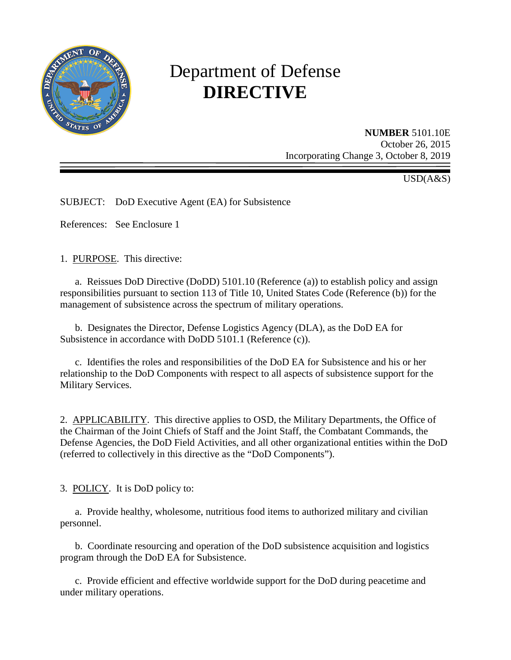

# Department of Defense **DIRECTIVE**

**NUMBER** 5101.10E October 26, 2015 Incorporating Change 3, October 8, 2019

USD(A&S)

SUBJECT: DoD Executive Agent (EA) for Subsistence

References: See Enclosure 1

1. PURPOSE. This directive:

a. Reissues DoD Directive (DoDD) 5101.10 (Reference (a)) to establish policy and assign responsibilities pursuant to section 113 of Title 10, United States Code (Reference (b)) for the management of subsistence across the spectrum of military operations.

 b. Designates the Director, Defense Logistics Agency (DLA), as the DoD EA for Subsistence in accordance with DoDD 5101.1 (Reference (c)).

 c. Identifies the roles and responsibilities of the DoD EA for Subsistence and his or her relationship to the DoD Components with respect to all aspects of subsistence support for the Military Services.

2. APPLICABILITY. This directive applies to OSD, the Military Departments, the Office of the Chairman of the Joint Chiefs of Staff and the Joint Staff, the Combatant Commands, the Defense Agencies, the DoD Field Activities, and all other organizational entities within the DoD (referred to collectively in this directive as the "DoD Components").

3. POLICY. It is DoD policy to:

 a. Provide healthy, wholesome, nutritious food items to authorized military and civilian personnel.

 b. Coordinate resourcing and operation of the DoD subsistence acquisition and logistics program through the DoD EA for Subsistence.

c. Provide efficient and effective worldwide support for the DoD during peacetime and under military operations.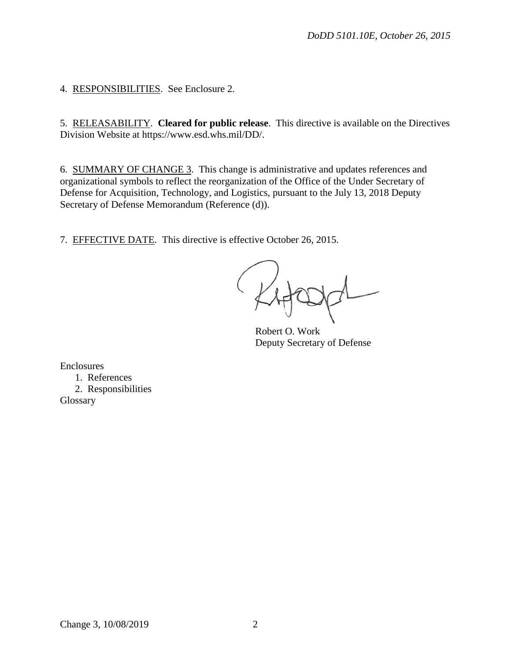4. RESPONSIBILITIES. See Enclosure 2.

5. RELEASABILITY. **Cleared for public release**. This directive is available on the Directives Division Website at https://www.esd.whs.mil/DD/.

6. SUMMARY OF CHANGE 3. This change is administrative and updates references and organizational symbols to reflect the reorganization of the Office of the Under Secretary of Defense for Acquisition, Technology, and Logistics, pursuant to the July 13, 2018 Deputy Secretary of Defense Memorandum (Reference (d)).

7. EFFECTIVE DATE. This directive is effective October 26, 2015.

Robert O. Work Deputy Secretary of Defense

Enclosures

1. References 2. Responsibilities **Glossary**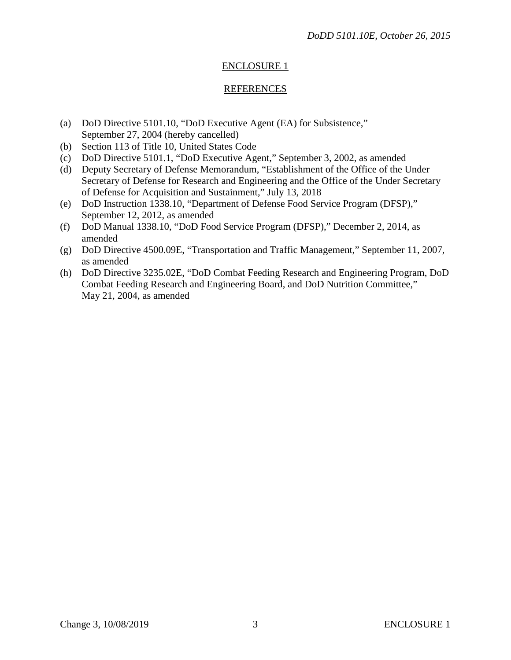# ENCLOSURE 1

#### REFERENCES

- (a) DoD Directive 5101.10, "DoD Executive Agent (EA) for Subsistence," September 27, 2004 (hereby cancelled)
- (b) Section 113 of Title 10, United States Code
- (c) DoD Directive 5101.1, "DoD Executive Agent," September 3, 2002, as amended
- (d) Deputy Secretary of Defense Memorandum, "Establishment of the Office of the Under Secretary of Defense for Research and Engineering and the Office of the Under Secretary of Defense for Acquisition and Sustainment," July 13, 2018
- (e) DoD Instruction 1338.10, "Department of Defense Food Service Program (DFSP)," September 12, 2012, as amended
- (f) DoD Manual 1338.10, "DoD Food Service Program (DFSP)," December 2, 2014, as amended
- (g) DoD Directive 4500.09E, "Transportation and Traffic Management," September 11, 2007, as amended
- (h) DoD Directive 3235.02E, "DoD Combat Feeding Research and Engineering Program, DoD Combat Feeding Research and Engineering Board, and DoD Nutrition Committee," May 21, 2004, as amended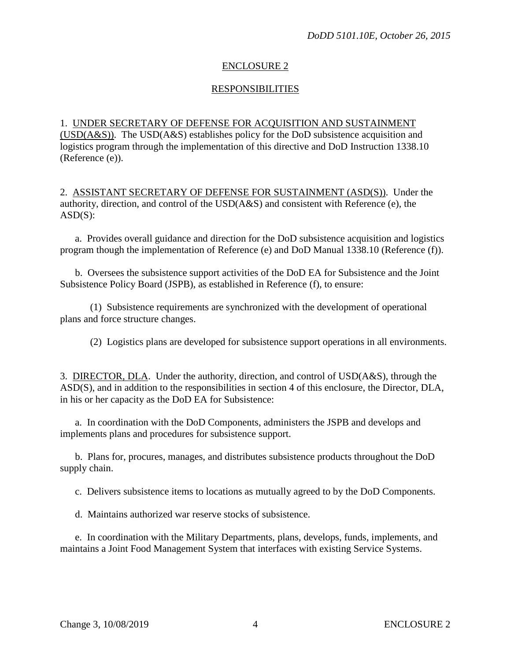### ENCLOSURE 2

## **RESPONSIBILITIES**

#### 1. UNDER SECRETARY OF DEFENSE FOR ACQUISITION AND SUSTAINMENT

(USD(A&S)). The USD(A&S) establishes policy for the DoD subsistence acquisition and logistics program through the implementation of this directive and DoD Instruction 1338.10 (Reference (e)).

2. ASSISTANT SECRETARY OF DEFENSE FOR SUSTAINMENT (ASD(S)). Under the authority, direction, and control of the USD(A&S) and consistent with Reference (e), the  $ASD(S)$ :

a. Provides overall guidance and direction for the DoD subsistence acquisition and logistics program though the implementation of Reference (e) and DoD Manual 1338.10 (Reference (f)).

b. Oversees the subsistence support activities of the DoD EA for Subsistence and the Joint Subsistence Policy Board (JSPB), as established in Reference (f), to ensure:

(1) Subsistence requirements are synchronized with the development of operational plans and force structure changes.

(2) Logistics plans are developed for subsistence support operations in all environments.

3. DIRECTOR, DLA. Under the authority, direction, and control of USD(A&S), through the ASD(S), and in addition to the responsibilities in section 4 of this enclosure, the Director, DLA, in his or her capacity as the DoD EA for Subsistence:

a. In coordination with the DoD Components, administers the JSPB and develops and implements plans and procedures for subsistence support.

b. Plans for, procures, manages, and distributes subsistence products throughout the DoD supply chain.

c. Delivers subsistence items to locations as mutually agreed to by the DoD Components.

d. Maintains authorized war reserve stocks of subsistence.

e. In coordination with the Military Departments, plans, develops, funds, implements, and maintains a Joint Food Management System that interfaces with existing Service Systems.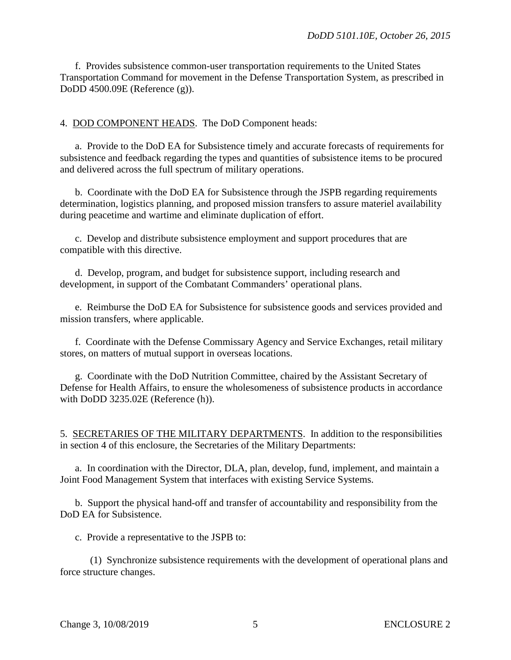f. Provides subsistence common-user transportation requirements to the United States Transportation Command for movement in the Defense Transportation System, as prescribed in DoDD 4500.09E (Reference (g)).

4. DOD COMPONENT HEADS. The DoD Component heads:

a. Provide to the DoD EA for Subsistence timely and accurate forecasts of requirements for subsistence and feedback regarding the types and quantities of subsistence items to be procured and delivered across the full spectrum of military operations.

b. Coordinate with the DoD EA for Subsistence through the JSPB regarding requirements determination, logistics planning, and proposed mission transfers to assure materiel availability during peacetime and wartime and eliminate duplication of effort.

c. Develop and distribute subsistence employment and support procedures that are compatible with this directive.

d. Develop, program, and budget for subsistence support, including research and development, in support of the Combatant Commanders' operational plans.

e. Reimburse the DoD EA for Subsistence for subsistence goods and services provided and mission transfers, where applicable.

f. Coordinate with the Defense Commissary Agency and Service Exchanges, retail military stores, on matters of mutual support in overseas locations.

g. Coordinate with the DoD Nutrition Committee, chaired by the Assistant Secretary of Defense for Health Affairs, to ensure the wholesomeness of subsistence products in accordance with DoDD 3235.02E (Reference (h)).

5. SECRETARIES OF THE MILITARY DEPARTMENTS. In addition to the responsibilities in section 4 of this enclosure, the Secretaries of the Military Departments:

a. In coordination with the Director, DLA, plan, develop, fund, implement, and maintain a Joint Food Management System that interfaces with existing Service Systems.

b. Support the physical hand-off and transfer of accountability and responsibility from the DoD EA for Subsistence.

c. Provide a representative to the JSPB to:

(1) Synchronize subsistence requirements with the development of operational plans and force structure changes.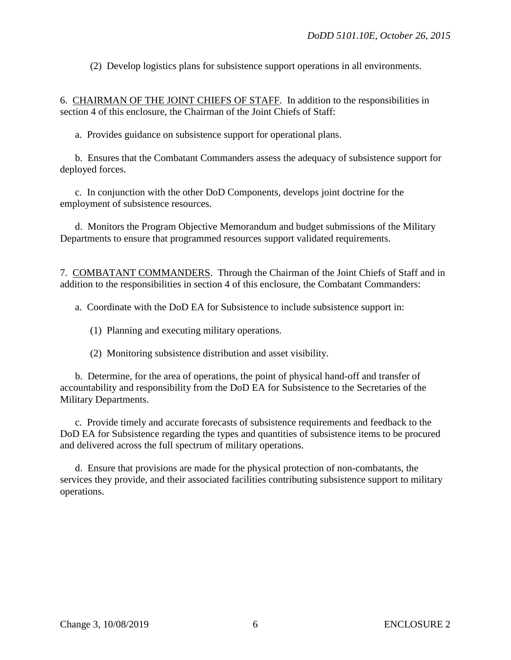(2) Develop logistics plans for subsistence support operations in all environments.

6. CHAIRMAN OF THE JOINT CHIEFS OF STAFF. In addition to the responsibilities in section 4 of this enclosure, the Chairman of the Joint Chiefs of Staff:

a. Provides guidance on subsistence support for operational plans.

b. Ensures that the Combatant Commanders assess the adequacy of subsistence support for deployed forces.

c. In conjunction with the other DoD Components, develops joint doctrine for the employment of subsistence resources.

d. Monitors the Program Objective Memorandum and budget submissions of the Military Departments to ensure that programmed resources support validated requirements.

7. COMBATANT COMMANDERS. Through the Chairman of the Joint Chiefs of Staff and in addition to the responsibilities in section 4 of this enclosure, the Combatant Commanders:

a. Coordinate with the DoD EA for Subsistence to include subsistence support in:

- (1) Planning and executing military operations.
- (2) Monitoring subsistence distribution and asset visibility.

b. Determine, for the area of operations, the point of physical hand-off and transfer of accountability and responsibility from the DoD EA for Subsistence to the Secretaries of the Military Departments.

c. Provide timely and accurate forecasts of subsistence requirements and feedback to the DoD EA for Subsistence regarding the types and quantities of subsistence items to be procured and delivered across the full spectrum of military operations.

d. Ensure that provisions are made for the physical protection of non-combatants, the services they provide, and their associated facilities contributing subsistence support to military operations.